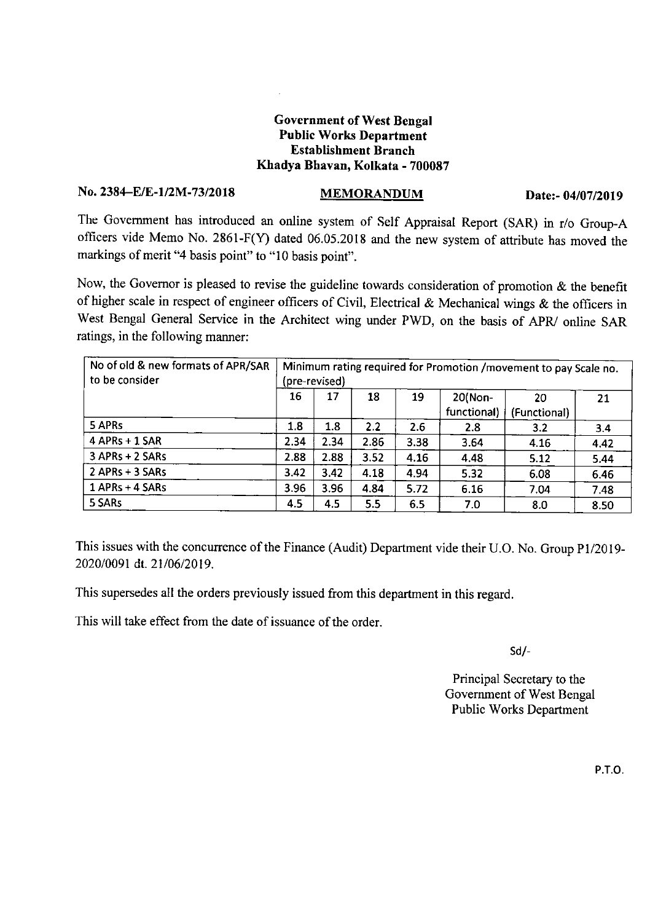## Government of West Bengal Public Works Department Establishment Branch Kbadya Bhavan, Kolkata - 700087

## No. 2384-EIE-l/2M-73/2018 MEMORANDUM Date:- *04/07/2019*

The Government has introduced an online system of Self Appraisal Report (SAR) in *rIo* Group-A officers vide Memo No. 2861-F(Y) dated 06.05.2018 and the new system of attribute has moved the markings of merit "4 basis point" to "10 basis point".

Now, the Governor is pleased to revise the guideline towards consideration of promotion & the benefit of higher scale in respect of engineer officers of Civil, Electrical & Mechanical wings & the officers in West Bengal General Service in the Architect wing under PWD, on the basis of APR/ online SAR ratings, in the following manner;

| No of old & new formats of APR/SAR<br>to be consider | Minimum rating required for Promotion /movement to pay Scale no.<br>(pre-revised) |      |      |      |                        |                    |      |
|------------------------------------------------------|-----------------------------------------------------------------------------------|------|------|------|------------------------|--------------------|------|
|                                                      | 16                                                                                | 17   | 18   | 19   | 20(Non-<br>functional) | 20<br>(Functional) | 21   |
| 5 APRs                                               | 1.8                                                                               | 1.8  | 2.2  | 2.6  | 2.8                    | 3.2                | 3.4  |
| 4 APRs + 1 SAR                                       | 2.34                                                                              | 2.34 | 2.86 | 3.38 | 3.64                   | 4.16               | 4.42 |
| 3 APRs + 2 SARs                                      | 2.88                                                                              | 2.88 | 3.52 | 4.16 | 4.48                   | 5.12               | 5.44 |
| $2$ APRs + 3 SARs                                    | 3.42                                                                              | 3.42 | 4.18 | 4.94 | 5.32                   | 6.08               | 6.46 |
| 1 APRs + 4 SARs                                      | 3.96                                                                              | 3.96 | 4.84 | 5.72 | 6.16                   | 7.04               | 7.48 |
| 5 SARs                                               | 4.5                                                                               | 4.5  | 5.5  | 6.5  | 7.0                    | 8.0                | 8.50 |

This issues with the concurrence of the Finance (Audit) Department vide their U.O. No. Group P1/2019-*202010091* dt. *21106/2019.*

This supersedes all the orders previously issued from this department in this regard.

This will take effect from the date of issuance of the order.

Sd/-

Principal Secretary to the Government of West Bengal Public Works Department